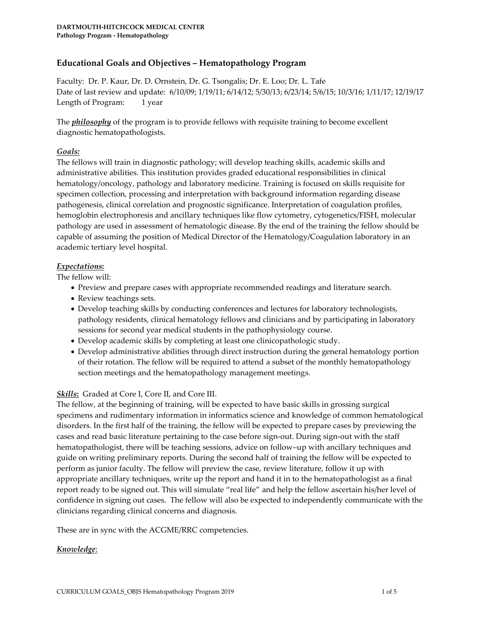# **Educational Goals and Objectives – Hematopathology Program**

Faculty: Dr. P. Kaur, Dr. D. Ornstein, Dr. G. Tsongalis; Dr. E. Loo; Dr. L. Tafe Date of last review and update: 6/10/09; 1/19/11; 6/14/12; 5/30/13; 6/23/14; 5/6/15; 10/3/16; 1/11/17; 12/19/17 Length of Program: 1 year

The *philosophy* of the program is to provide fellows with requisite training to become excellent diagnostic hematopathologists.

# *Goals:*

The fellows will train in diagnostic pathology; will develop teaching skills, academic skills and administrative abilities. This institution provides graded educational responsibilities in clinical hematology/oncology, pathology and laboratory medicine. Training is focused on skills requisite for specimen collection, processing and interpretation with background information regarding disease pathogenesis, clinical correlation and prognostic significance. Interpretation of coagulation profiles, hemoglobin electrophoresis and ancillary techniques like flow cytometry, cytogenetics/FISH, molecular pathology are used in assessment of hematologic disease. By the end of the training the fellow should be capable of assuming the position of Medical Director of the Hematology/Coagulation laboratory in an academic tertiary level hospital.

#### *Expectations***:**

The fellow will:

- Preview and prepare cases with appropriate recommended readings and literature search.
- Review teachings sets.
- Develop teaching skills by conducting conferences and lectures for laboratory technologists, pathology residents, clinical hematology fellows and clinicians and by participating in laboratory sessions for second year medical students in the pathophysiology course.
- Develop academic skills by completing at least one clinicopathologic study.
- Develop administrative abilities through direct instruction during the general hematology portion of their rotation. The fellow will be required to attend a subset of the monthly hematopathology section meetings and the hematopathology management meetings.

# *Skills***:** Graded at Core I, Core II, and Core III.

The fellow, at the beginning of training, will be expected to have basic skills in grossing surgical specimens and rudimentary information in informatics science and knowledge of common hematological disorders. In the first half of the training, the fellow will be expected to prepare cases by previewing the cases and read basic literature pertaining to the case before sign-out. During sign-out with the staff hematopathologist, there will be teaching sessions, advice on follow–up with ancillary techniques and guide on writing preliminary reports. During the second half of training the fellow will be expected to perform as junior faculty. The fellow will preview the case, review literature, follow it up with appropriate ancillary techniques, write up the report and hand it in to the hematopathologist as a final report ready to be signed out. This will simulate "real life" and help the fellow ascertain his/her level of confidence in signing out cases. The fellow will also be expected to independently communicate with the clinicians regarding clinical concerns and diagnosis.

These are in sync with the ACGME/RRC competencies.

# *Knowledge*: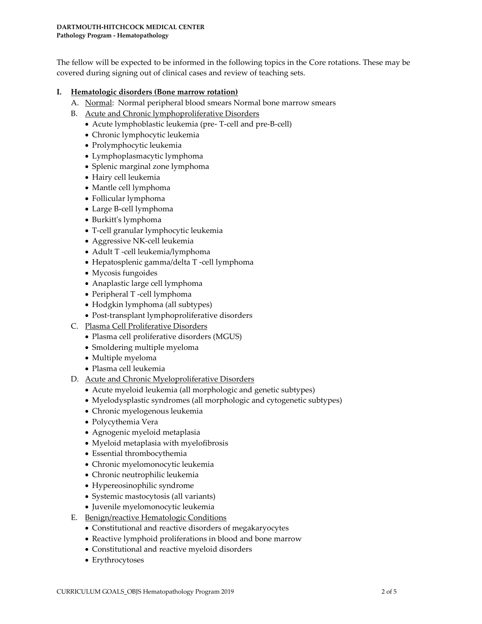The fellow will be expected to be informed in the following topics in the Core rotations. These may be covered during signing out of clinical cases and review of teaching sets.

### **I. Hematologic disorders (Bone marrow rotation)**

- A. Normal: Normal peripheral blood smears Normal bone marrow smears
- B. Acute and Chronic lymphoproliferative Disorders
	- Acute lymphoblastic leukemia (pre- T-cell and pre-B-cell)
	- Chronic lymphocytic leukemia
	- Prolymphocytic leukemia
	- Lymphoplasmacytic lymphoma
	- Splenic marginal zone lymphoma
	- Hairy cell leukemia
	- Mantle cell lymphoma
	- Follicular lymphoma
	- Large B-cell lymphoma
	- Burkitt's lymphoma
	- T-cell granular lymphocytic leukemia
	- Aggressive NK-cell leukemia
	- Adult T -cell leukemia/lymphoma
	- Hepatosplenic gamma/delta T -cell lymphoma
	- Mycosis fungoides
	- Anaplastic large cell lymphoma
	- Peripheral T -cell lymphoma
	- Hodgkin lymphoma (all subtypes)
	- Post-transplant lymphoproliferative disorders
- C. Plasma Cell Proliferative Disorders
	- Plasma cell proliferative disorders (MGUS)
	- Smoldering multiple myeloma
	- Multiple myeloma
	- Plasma cell leukemia
- D. Acute and Chronic Myeloproliferative Disorders
	- Acute myeloid leukemia (all morphologic and genetic subtypes)
	- Myelodysplastic syndromes (all morphologic and cytogenetic subtypes)
	- Chronic myelogenous leukemia
	- Polycythemia Vera
	- Agnogenic myeloid metaplasia
	- Myeloid metaplasia with myelofibrosis
	- Essential thrombocythemia
	- Chronic myelomonocytic leukemia
	- Chronic neutrophilic leukemia
	- Hypereosinophilic syndrome
	- Systemic mastocytosis (all variants)
	- Juvenile myelomonocytic leukemia
- E. Benign/reactive Hematologic Conditions
	- Constitutional and reactive disorders of megakaryocytes
	- Reactive lymphoid proliferations in blood and bone marrow
	- Constitutional and reactive myeloid disorders
	- Erythrocytoses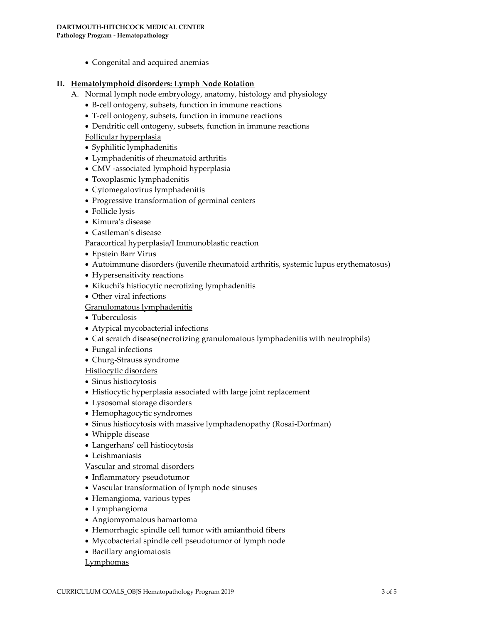Congenital and acquired anemias

#### **II. Hematolymphoid disorders: Lymph Node Rotation**

- A. Normal lymph node embryology, anatomy, histology and physiology
	- B-cell ontogeny, subsets, function in immune reactions
	- T-cell ontogeny, subsets, function in immune reactions
	- Dendritic cell ontogeny, subsets, function in immune reactions

Follicular hyperplasia

- Syphilitic lymphadenitis
- Lymphadenitis of rheumatoid arthritis
- CMV -associated lymphoid hyperplasia
- Toxoplasmic lymphadenitis
- Cytomegalovirus lymphadenitis
- Progressive transformation of germinal centers
- Follicle lysis
- Kimura's disease
- Castleman's disease

Paracortical hyperplasia/I Immunoblastic reaction

- Epstein Barr Virus
- Autoimmune disorders (juvenile rheumatoid arthritis, systemic lupus erythematosus)
- Hypersensitivity reactions
- Kikuchi's histiocytic necrotizing lymphadenitis
- Other viral infections

#### Granulomatous lymphadenitis

- Tuberculosis
- Atypical mycobacterial infections
- Cat scratch disease(necrotizing granulomatous lymphadenitis with neutrophils)
- Fungal infections
- Churg-Strauss syndrome

#### Histiocytic disorders

- Sinus histiocytosis
- Histiocytic hyperplasia associated with large joint replacement
- Lysosomal storage disorders
- Hemophagocytic syndromes
- Sinus histiocytosis with massive lymphadenopathy (Rosai-Dorfman)
- Whipple disease
- Langerhans' cell histiocytosis
- Leishmaniasis
- Vascular and stromal disorders
- Inflammatory pseudotumor
- Vascular transformation of lymph node sinuses
- Hemangioma, various types
- Lymphangioma
- Angiomyomatous hamartoma
- Hemorrhagic spindle cell tumor with amianthoid fibers
- Mycobacterial spindle cell pseudotumor of lymph node
- Bacillary angiomatosis

#### **Lymphomas**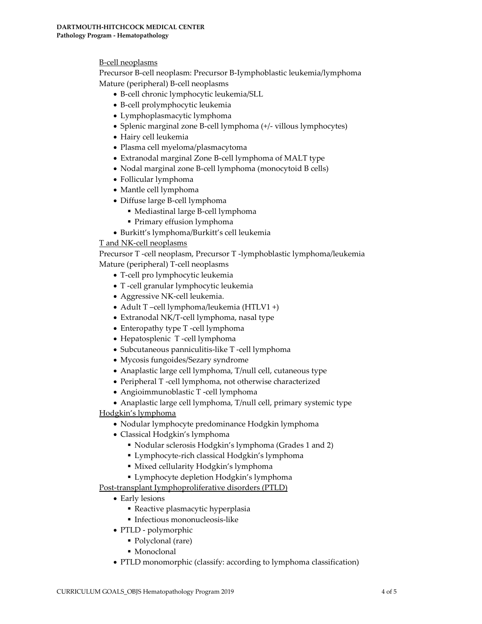B-cell neoplasms

Precursor B-cell neoplasm: Precursor B-Iymphoblastic leukemia/lymphoma Mature (peripheral) B-cell neoplasms

- B-cell chronic lymphocytic leukemia/SLL
- B-cell prolymphocytic leukemia
- Lymphoplasmacytic lymphoma
- Splenic marginal zone B-cell lymphoma (+/- villous lymphocytes)
- Hairy cell leukemia
- Plasma cell myeloma/plasmacytoma
- Extranodal marginal Zone B-cell lymphoma of MALT type
- Nodal marginal zone B-cell lymphoma (monocytoid B cells)
- Follicular lymphoma
- Mantle cell lymphoma
- Diffuse large B-cell lymphoma
	- Mediastinal large B-cell lymphoma
	- Primary effusion lymphoma
- Burkitt's lymphoma/Burkitt's cell leukemia

# T and NK-cell neoplasms

Precursor T -cell neoplasm, Precursor T -lymphoblastic lymphoma/leukemia Mature (peripheral) T-cell neoplasms

- T-cell pro lymphocytic leukemia
- T -cell granular lymphocytic leukemia
- Aggressive NK-cell leukemia.
- Adult T –cell lymphoma/leukemia (HTLV1 +)
- Extranodal NK/T-cell lymphoma, nasal type
- Enteropathy type T -cell lymphoma
- Hepatosplenic T -cell lymphoma
- Subcutaneous panniculitis-like T -cell lymphoma
- Mycosis fungoides/Sezary syndrome
- Anaplastic large cell lymphoma, T/null cell, cutaneous type
- Peripheral T -cell lymphoma, not otherwise characterized
- Angioimmunoblastic T -cell lymphoma
- Anaplastic large cell lymphoma, T/null cell, primary systemic type

Hodgkin's lymphoma

- Nodular lymphocyte predominance Hodgkin lymphoma
- Classical Hodgkin's lymphoma
	- Nodular sclerosis Hodgkin's lymphoma (Grades 1 and 2)
	- Lymphocyte-rich classical Hodgkin's lymphoma
	- Mixed cellularity Hodgkin's lymphoma
	- Lymphocyte depletion Hodgkin's lymphoma

Post-transplant Iymphoproliferative disorders (PTLD)

- Early lesions
	- Reactive plasmacytic hyperplasia
	- Infectious mononucleosis-like
- PTLD polymorphic
	- Polyclonal (rare)
	- Monoclonal
- PTLD monomorphic (classify: according to lymphoma classification)